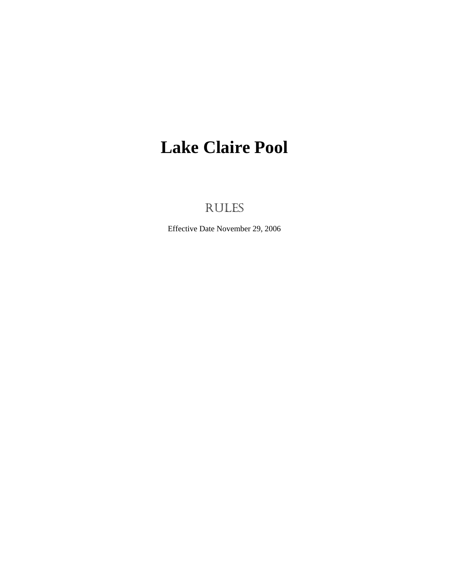# **Lake Claire Pool**

# RULES

Effective Date November 29, 2006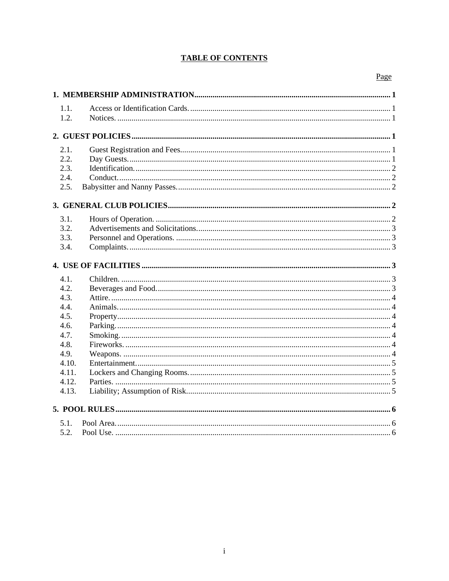# **TABLE OF CONTENTS**

# Page

| 1.1.  |  |  |
|-------|--|--|
| 1.2.  |  |  |
|       |  |  |
| 2.1.  |  |  |
| 2.2.  |  |  |
| 2.3.  |  |  |
| 2.4.  |  |  |
| 2.5.  |  |  |
|       |  |  |
| 3.1.  |  |  |
| 3.2.  |  |  |
| 3.3.  |  |  |
| 3.4.  |  |  |
|       |  |  |
| 4.1.  |  |  |
| 4.2.  |  |  |
| 4.3.  |  |  |
| 4.4.  |  |  |
| 4.5.  |  |  |
| 4.6.  |  |  |
| 4.7.  |  |  |
| 4.8.  |  |  |
| 4.9.  |  |  |
| 4.10. |  |  |
| 4.11. |  |  |
| 4.12. |  |  |
| 4.13. |  |  |
|       |  |  |
| 5.1.  |  |  |
| 5.2.  |  |  |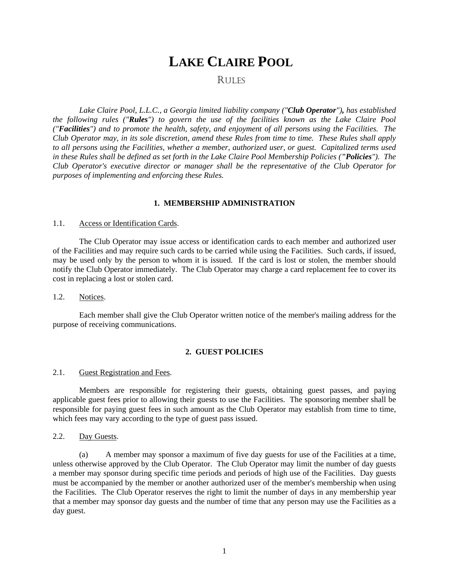# **LAKE CLAIRE POOL**

# RULES

*Lake Claire Pool, L.L.C., a Georgia limited liability company ("Club Operator"), has established the following rules ("Rules") to govern the use of the facilities known as the Lake Claire Pool ("Facilities") and to promote the health, safety, and enjoyment of all persons using the Facilities. The Club Operator may, in its sole discretion, amend these Rules from time to time. These Rules shall apply to all persons using the Facilities, whether a member, authorized user, or guest. Capitalized terms used in these Rules shall be defined as set forth in the Lake Claire Pool Membership Policies ("Policies"). The Club Operator's executive director or manager shall be the representative of the Club Operator for purposes of implementing and enforcing these Rules.* 

#### **1. MEMBERSHIP ADMINISTRATION**

### 1.1. Access or Identification Cards.

 The Club Operator may issue access or identification cards to each member and authorized user of the Facilities and may require such cards to be carried while using the Facilities. Such cards, if issued, may be used only by the person to whom it is issued. If the card is lost or stolen, the member should notify the Club Operator immediately. The Club Operator may charge a card replacement fee to cover its cost in replacing a lost or stolen card.

#### 1.2. Notices.

 Each member shall give the Club Operator written notice of the member's mailing address for the purpose of receiving communications.

#### **2. GUEST POLICIES**

#### 2.1. Guest Registration and Fees.

Members are responsible for registering their guests, obtaining guest passes, and paying applicable guest fees prior to allowing their guests to use the Facilities. The sponsoring member shall be responsible for paying guest fees in such amount as the Club Operator may establish from time to time, which fees may vary according to the type of guest pass issued.

### 2.2. Day Guests.

 (a) A member may sponsor a maximum of five day guests for use of the Facilities at a time, unless otherwise approved by the Club Operator. The Club Operator may limit the number of day guests a member may sponsor during specific time periods and periods of high use of the Facilities. Day guests must be accompanied by the member or another authorized user of the member's membership when using the Facilities. The Club Operator reserves the right to limit the number of days in any membership year that a member may sponsor day guests and the number of time that any person may use the Facilities as a day guest.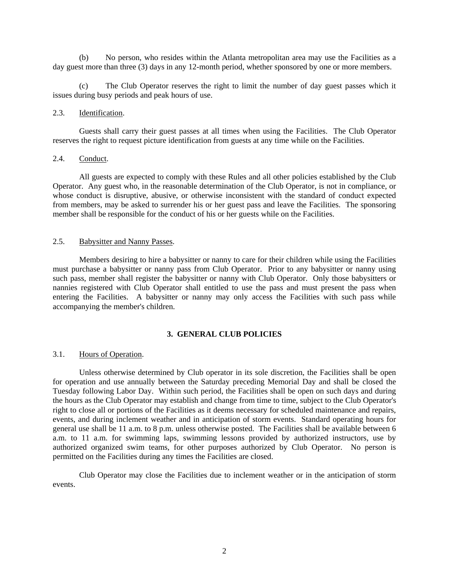(b) No person, who resides within the Atlanta metropolitan area may use the Facilities as a day guest more than three (3) days in any 12-month period, whether sponsored by one or more members.

 (c) The Club Operator reserves the right to limit the number of day guest passes which it issues during busy periods and peak hours of use.

# 2.3. Identification.

 Guests shall carry their guest passes at all times when using the Facilities. The Club Operator reserves the right to request picture identification from guests at any time while on the Facilities.

# 2.4. Conduct.

 All guests are expected to comply with these Rules and all other policies established by the Club Operator. Any guest who, in the reasonable determination of the Club Operator, is not in compliance, or whose conduct is disruptive, abusive, or otherwise inconsistent with the standard of conduct expected from members, may be asked to surrender his or her guest pass and leave the Facilities. The sponsoring member shall be responsible for the conduct of his or her guests while on the Facilities.

#### 2.5. Babysitter and Nanny Passes.

 Members desiring to hire a babysitter or nanny to care for their children while using the Facilities must purchase a babysitter or nanny pass from Club Operator. Prior to any babysitter or nanny using such pass, member shall register the babysitter or nanny with Club Operator. Only those babysitters or nannies registered with Club Operator shall entitled to use the pass and must present the pass when entering the Facilities. A babysitter or nanny may only access the Facilities with such pass while accompanying the member's children.

#### **3. GENERAL CLUB POLICIES**

#### 3.1. Hours of Operation.

 Unless otherwise determined by Club operator in its sole discretion, the Facilities shall be open for operation and use annually between the Saturday preceding Memorial Day and shall be closed the Tuesday following Labor Day. Within such period, the Facilities shall be open on such days and during the hours as the Club Operator may establish and change from time to time, subject to the Club Operator's right to close all or portions of the Facilities as it deems necessary for scheduled maintenance and repairs, events, and during inclement weather and in anticipation of storm events. Standard operating hours for general use shall be 11 a.m. to 8 p.m. unless otherwise posted. The Facilities shall be available between 6 a.m. to 11 a.m. for swimming laps, swimming lessons provided by authorized instructors, use by authorized organized swim teams, for other purposes authorized by Club Operator. No person is permitted on the Facilities during any times the Facilities are closed.

 Club Operator may close the Facilities due to inclement weather or in the anticipation of storm events.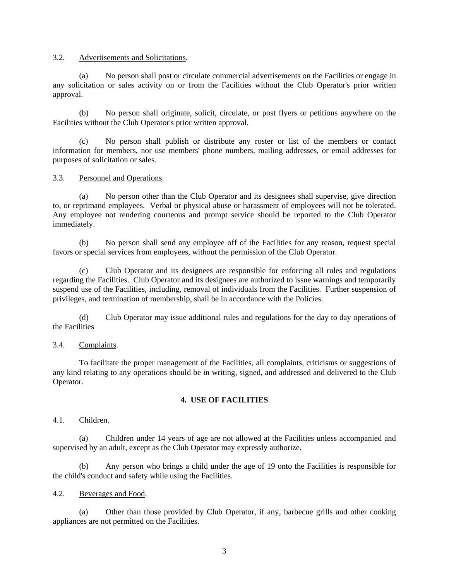### 3.2. Advertisements and Solicitations.

 (a) No person shall post or circulate commercial advertisements on the Facilities or engage in any solicitation or sales activity on or from the Facilities without the Club Operator's prior written approval.

 (b) No person shall originate, solicit, circulate, or post flyers or petitions anywhere on the Facilities without the Club Operator's prior written approval.

 (c) No person shall publish or distribute any roster or list of the members or contact information for members, nor use members' phone numbers, mailing addresses, or email addresses for purposes of solicitation or sales.

# 3.3. Personnel and Operations.

 (a) No person other than the Club Operator and its designees shall supervise, give direction to, or reprimand employees. Verbal or physical abuse or harassment of employees will not be tolerated. Any employee not rendering courteous and prompt service should be reported to the Club Operator immediately.

 (b) No person shall send any employee off of the Facilities for any reason, request special favors or special services from employees, without the permission of the Club Operator.

 (c) Club Operator and its designees are responsible for enforcing all rules and regulations regarding the Facilities. Club Operator and its designees are authorized to issue warnings and temporarily suspend use of the Facilities, including, removal of individuals from the Facilities. Further suspension of privileges, and termination of membership, shall be in accordance with the Policies.

 (d) Club Operator may issue additional rules and regulations for the day to day operations of the Facilities

# 3.4. Complaints.

 To facilitate the proper management of the Facilities, all complaints, criticisms or suggestions of any kind relating to any operations should be in writing, signed, and addressed and delivered to the Club Operator.

# **4. USE OF FACILITIES**

4.1. Children.

 (a) Children under 14 years of age are not allowed at the Facilities unless accompanied and supervised by an adult, except as the Club Operator may expressly authorize.

 (b) Any person who brings a child under the age of 19 onto the Facilities is responsible for the child's conduct and safety while using the Facilities.

# 4.2. Beverages and Food.

 (a) Other than those provided by Club Operator, if any, barbecue grills and other cooking appliances are not permitted on the Facilities.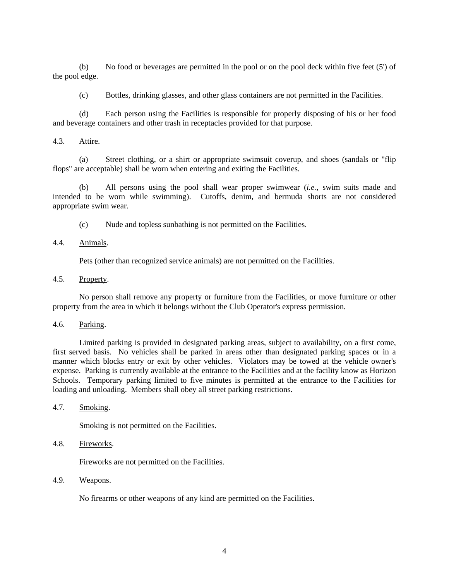(b) No food or beverages are permitted in the pool or on the pool deck within five feet (5') of the pool edge.

(c) Bottles, drinking glasses, and other glass containers are not permitted in the Facilities.

 (d) Each person using the Facilities is responsible for properly disposing of his or her food and beverage containers and other trash in receptacles provided for that purpose.

#### 4.3. Attire.

 (a) Street clothing, or a shirt or appropriate swimsuit coverup, and shoes (sandals or "flip flops" are acceptable) shall be worn when entering and exiting the Facilities.

(b) All persons using the pool shall wear proper swimwear (*i.e.*, swim suits made and intended to be worn while swimming). Cutoffs, denim, and bermuda shorts are not considered appropriate swim wear.

(c) Nude and topless sunbathing is not permitted on the Facilities.

# 4.4. Animals.

Pets (other than recognized service animals) are not permitted on the Facilities.

# 4.5. Property.

 No person shall remove any property or furniture from the Facilities, or move furniture or other property from the area in which it belongs without the Club Operator's express permission.

# 4.6. Parking.

 Limited parking is provided in designated parking areas, subject to availability, on a first come, first served basis. No vehicles shall be parked in areas other than designated parking spaces or in a manner which blocks entry or exit by other vehicles. Violators may be towed at the vehicle owner's expense. Parking is currently available at the entrance to the Facilities and at the facility know as Horizon Schools. Temporary parking limited to five minutes is permitted at the entrance to the Facilities for loading and unloading. Members shall obey all street parking restrictions.

#### 4.7. Smoking.

Smoking is not permitted on the Facilities.

# 4.8. Fireworks.

Fireworks are not permitted on the Facilities.

# 4.9. Weapons.

No firearms or other weapons of any kind are permitted on the Facilities.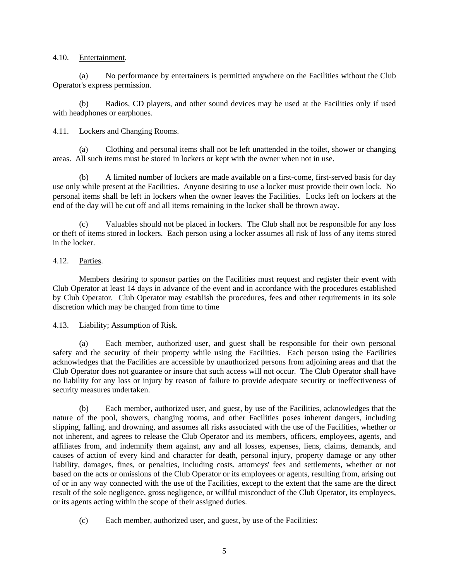### 4.10. Entertainment.

 (a) No performance by entertainers is permitted anywhere on the Facilities without the Club Operator's express permission.

 (b) Radios, CD players, and other sound devices may be used at the Facilities only if used with headphones or earphones.

# 4.11. Lockers and Changing Rooms.

 (a) Clothing and personal items shall not be left unattended in the toilet, shower or changing areas. All such items must be stored in lockers or kept with the owner when not in use.

 (b) A limited number of lockers are made available on a first-come, first-served basis for day use only while present at the Facilities. Anyone desiring to use a locker must provide their own lock. No personal items shall be left in lockers when the owner leaves the Facilities. Locks left on lockers at the end of the day will be cut off and all items remaining in the locker shall be thrown away.

 (c) Valuables should not be placed in lockers. The Club shall not be responsible for any loss or theft of items stored in lockers. Each person using a locker assumes all risk of loss of any items stored in the locker.

# 4.12. Parties.

 Members desiring to sponsor parties on the Facilities must request and register their event with Club Operator at least 14 days in advance of the event and in accordance with the procedures established by Club Operator. Club Operator may establish the procedures, fees and other requirements in its sole discretion which may be changed from time to time

# 4.13. Liability; Assumption of Risk.

 (a) Each member, authorized user, and guest shall be responsible for their own personal safety and the security of their property while using the Facilities. Each person using the Facilities acknowledges that the Facilities are accessible by unauthorized persons from adjoining areas and that the Club Operator does not guarantee or insure that such access will not occur. The Club Operator shall have no liability for any loss or injury by reason of failure to provide adequate security or ineffectiveness of security measures undertaken.

(b) Each member, authorized user, and guest, by use of the Facilities, acknowledges that the nature of the pool, showers, changing rooms, and other Facilities poses inherent dangers, including slipping, falling, and drowning, and assumes all risks associated with the use of the Facilities, whether or not inherent, and agrees to release the Club Operator and its members, officers, employees, agents, and affiliates from, and indemnify them against, any and all losses, expenses, liens, claims, demands, and causes of action of every kind and character for death, personal injury, property damage or any other liability, damages, fines, or penalties, including costs, attorneys' fees and settlements, whether or not based on the acts or omissions of the Club Operator or its employees or agents, resulting from, arising out of or in any way connected with the use of the Facilities, except to the extent that the same are the direct result of the sole negligence, gross negligence, or willful misconduct of the Club Operator, its employees, or its agents acting within the scope of their assigned duties.

(c) Each member, authorized user, and guest, by use of the Facilities: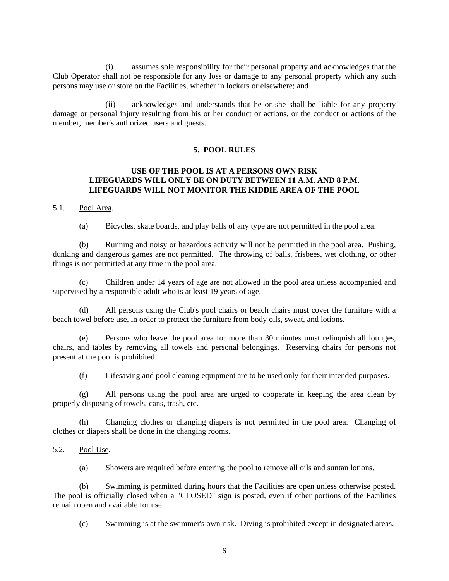(i) assumes sole responsibility for their personal property and acknowledges that the Club Operator shall not be responsible for any loss or damage to any personal property which any such persons may use or store on the Facilities, whether in lockers or elsewhere; and

 (ii) acknowledges and understands that he or she shall be liable for any property damage or personal injury resulting from his or her conduct or actions, or the conduct or actions of the member, member's authorized users and guests.

# **5. POOL RULES**

# **USE OF THE POOL IS AT A PERSONS OWN RISK LIFEGUARDS WILL ONLY BE ON DUTY BETWEEN 11 A.M. AND 8 P.M. LIFEGUARDS WILL NOT MONITOR THE KIDDIE AREA OF THE POOL**

# 5.1. Pool Area.

(a) Bicycles, skate boards, and play balls of any type are not permitted in the pool area.

 (b) Running and noisy or hazardous activity will not be permitted in the pool area. Pushing, dunking and dangerous games are not permitted. The throwing of balls, frisbees, wet clothing, or other things is not permitted at any time in the pool area.

(c) Children under 14 years of age are not allowed in the pool area unless accompanied and supervised by a responsible adult who is at least 19 years of age.

 (d) All persons using the Club's pool chairs or beach chairs must cover the furniture with a beach towel before use, in order to protect the furniture from body oils, sweat, and lotions.

(e) Persons who leave the pool area for more than 30 minutes must relinquish all lounges, chairs, and tables by removing all towels and personal belongings. Reserving chairs for persons not present at the pool is prohibited.

(f) Lifesaving and pool cleaning equipment are to be used only for their intended purposes.

(g) All persons using the pool area are urged to cooperate in keeping the area clean by properly disposing of towels, cans, trash, etc.

(h) Changing clothes or changing diapers is not permitted in the pool area. Changing of clothes or diapers shall be done in the changing rooms.

# 5.2. Pool Use.

(a) Showers are required before entering the pool to remove all oils and suntan lotions.

(b) Swimming is permitted during hours that the Facilities are open unless otherwise posted. The pool is officially closed when a "CLOSED" sign is posted, even if other portions of the Facilities remain open and available for use.

(c) Swimming is at the swimmer's own risk. Diving is prohibited except in designated areas.